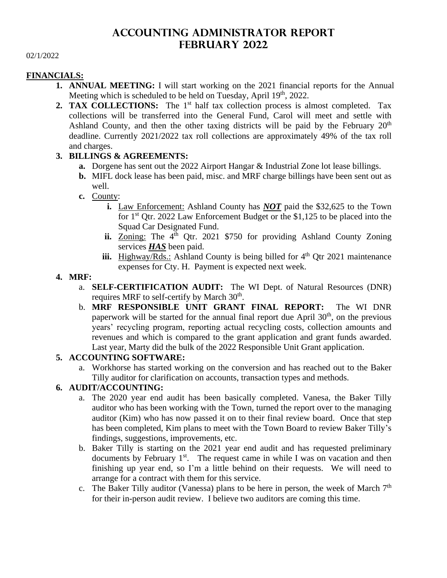# **ACCOUNTING ADMINISTRATOR REPORT February 2022**

#### 02/1/2022

#### **FINANCIALS:**

- **1. ANNUAL MEETING:** I will start working on the 2021 financial reports for the Annual Meeting which is scheduled to be held on Tuesday, April 19<sup>th</sup>, 2022.
- **2. TAX COLLECTIONS:** The 1<sup>st</sup> half tax collection process is almost completed. Tax collections will be transferred into the General Fund, Carol will meet and settle with Ashland County, and then the other taxing districts will be paid by the February  $20<sup>th</sup>$ deadline. Currently 2021/2022 tax roll collections are approximately 49% of the tax roll and charges.

### **3. BILLINGS & AGREEMENTS:**

- **a.** Dorgene has sent out the 2022 Airport Hangar & Industrial Zone lot lease billings.
- **b.** MIFL dock lease has been paid, misc. and MRF charge billings have been sent out as well.
- **c.** County:
	- **i.** Law Enforcement: Ashland County has *NOT* paid the \$32,625 to the Town for 1<sup>st</sup> Qtr. 2022 Law Enforcement Budget or the \$1,125 to be placed into the Squad Car Designated Fund.
	- ii. **Zoning:** The 4<sup>th</sup> Qtr. 2021 \$750 for providing Ashland County Zoning services *HAS* been paid.
	- **iii.** Highway/Rds.: Ashland County is being billed for  $4<sup>th</sup>$  Qtr 2021 maintenance expenses for Cty. H. Payment is expected next week.
- **4. MRF:**
	- a. **SELF-CERTIFICATION AUDIT:** The WI Dept. of Natural Resources (DNR) requires MRF to self-certify by March 30<sup>th</sup>.
	- b. **MRF RESPONSIBLE UNIT GRANT FINAL REPORT:** The WI DNR paperwork will be started for the annual final report due April  $30<sup>th</sup>$ , on the previous years' recycling program, reporting actual recycling costs, collection amounts and revenues and which is compared to the grant application and grant funds awarded. Last year, Marty did the bulk of the 2022 Responsible Unit Grant application.

#### **5. ACCOUNTING SOFTWARE:**

a. Workhorse has started working on the conversion and has reached out to the Baker Tilly auditor for clarification on accounts, transaction types and methods.

# **6. AUDIT/ACCOUNTING:**

- a. The 2020 year end audit has been basically completed. Vanesa, the Baker Tilly auditor who has been working with the Town, turned the report over to the managing auditor (Kim) who has now passed it on to their final review board. Once that step has been completed, Kim plans to meet with the Town Board to review Baker Tilly's findings, suggestions, improvements, etc.
- b. Baker Tilly is starting on the 2021 year end audit and has requested preliminary documents by February  $1<sup>st</sup>$ . The request came in while I was on vacation and then finishing up year end, so I'm a little behind on their requests. We will need to arrange for a contract with them for this service.
- c. The Baker Tilly auditor (Vanessa) plans to be here in person, the week of March  $7<sup>th</sup>$ for their in-person audit review. I believe two auditors are coming this time.